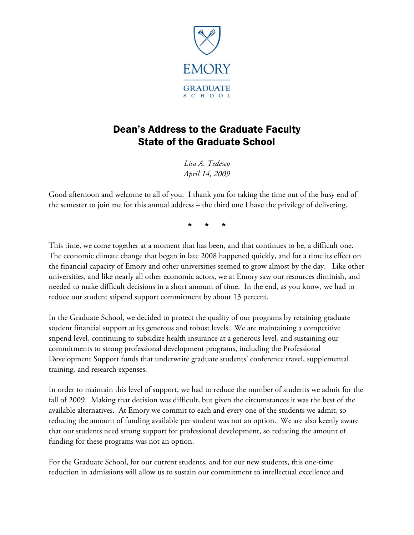

# Dean's Address to the Graduate Faculty State of the Graduate School

*Lisa A. Tedesco April 14, 2009*

Good afternoon and welcome to all of you. I thank you for taking the time out of the busy end of the semester to join me for this annual address – the third one I have the privilege of delivering.

\* \* \*

This time, we come together at a moment that has been, and that continues to be, a difficult one. The economic climate change that began in late 2008 happened quickly, and for a time its effect on the financial capacity of Emory and other universities seemed to grow almost by the day. Like other universities, and like nearly all other economic actors, we at Emory saw our resources diminish, and needed to make difficult decisions in a short amount of time. In the end, as you know, we had to reduce our student stipend support commitment by about 13 percent.

In the Graduate School, we decided to protect the quality of our programs by retaining graduate student financial support at its generous and robust levels. We are maintaining a competitive stipend level, continuing to subsidize health insurance at a generous level, and sustaining our commitments to strong professional development programs, including the Professional Development Support funds that underwrite graduate students' conference travel, supplemental training, and research expenses.

In order to maintain this level of support, we had to reduce the number of students we admit for the fall of 2009. Making that decision was difficult, but given the circumstances it was the best of the available alternatives. At Emory we commit to each and every one of the students we admit, so reducing the amount of funding available per student was not an option. We are also keenly aware that our students need strong support for professional development, so reducing the amount of funding for these programs was not an option.

For the Graduate School, for our current students, and for our new students, this one-time reduction in admissions will allow us to sustain our commitment to intellectual excellence and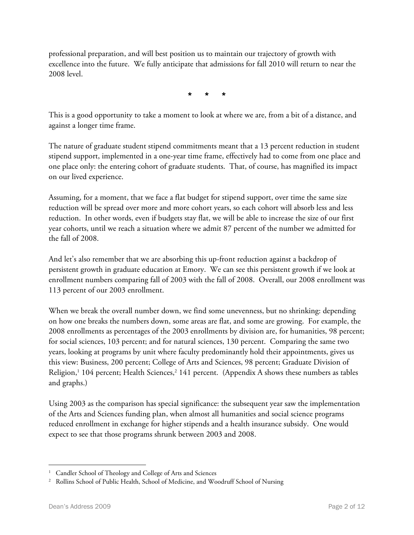professional preparation, and will best position us to maintain our trajectory of growth with excellence into the future. We fully anticipate that admissions for fall 2010 will return to near the 2008 level.

\* \* \*

This is a good opportunity to take a moment to look at where we are, from a bit of a distance, and against a longer time frame.

The nature of graduate student stipend commitments meant that a 13 percent reduction in student stipend support, implemented in a one-year time frame, effectively had to come from one place and one place only: the entering cohort of graduate students. That, of course, has magnified its impact on our lived experience.

Assuming, for a moment, that we face a flat budget for stipend support, over time the same size reduction will be spread over more and more cohort years, so each cohort will absorb less and less reduction. In other words, even if budgets stay flat, we will be able to increase the size of our first year cohorts, until we reach a situation where we admit 87 percent of the number we admitted for the fall of 2008.

And let's also remember that we are absorbing this up-front reduction against a backdrop of persistent growth in graduate education at Emory. We can see this persistent growth if we look at enrollment numbers comparing fall of 2003 with the fall of 2008. Overall, our 2008 enrollment was 113 percent of our 2003 enrollment.

When we break the overall number down, we find some unevenness, but no shrinking: depending on how one breaks the numbers down, some areas are flat, and some are growing. For example, the 2008 enrollments as percentages of the 2003 enrollments by division are, for humanities, 98 percent; for social sciences, 103 percent; and for natural sciences, 130 percent. Comparing the same two years, looking at programs by unit where faculty predominantly hold their appointments, gives us this view: Business, 200 percent; College of Arts and Sciences, 98 percent; Graduate Division of Religion, <sup>1</sup> 104 percent; Health Sciences, <sup>2</sup> 141 percent. (Appendix A shows these numbers as tables and graphs.)

Using 2003 as the comparison has special significance: the subsequent year saw the implementation of the Arts and Sciences funding plan, when almost all humanities and social science programs reduced enrollment in exchange for higher stipends and a health insurance subsidy. One would expect to see that those programs shrunk between 2003 and 2008.

 $\overline{a}$ 

<sup>&</sup>lt;sup>1</sup> Candler School of Theology and College of Arts and Sciences

<sup>&</sup>lt;sup>2</sup> Rollins School of Public Health, School of Medicine, and Woodruff School of Nursing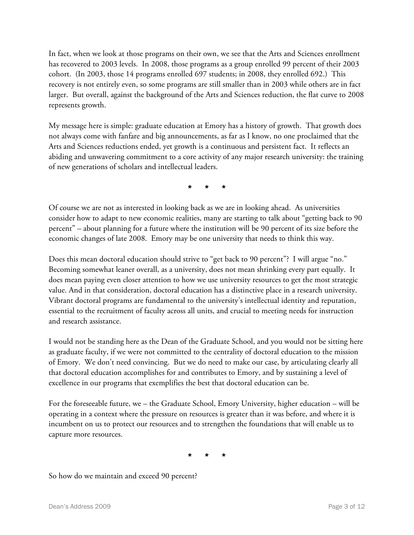In fact, when we look at those programs on their own, we see that the Arts and Sciences enrollment has recovered to 2003 levels. In 2008, those programs as a group enrolled 99 percent of their 2003 cohort. (In 2003, those 14 programs enrolled 697 students; in 2008, they enrolled 692.) This recovery is not entirely even, so some programs are still smaller than in 2003 while others are in fact larger. But overall, against the background of the Arts and Sciences reduction, the flat curve to 2008 represents growth.

My message here is simple: graduate education at Emory has a history of growth. That growth does not always come with fanfare and big announcements, as far as I know, no one proclaimed that the Arts and Sciences reductions ended, yet growth is a continuous and persistent fact. It reflects an abiding and unwavering commitment to a core activity of any major research university: the training of new generations of scholars and intellectual leaders.

\* \* \*

Of course we are not as interested in looking back as we are in looking ahead. As universities consider how to adapt to new economic realities, many are starting to talk about "getting back to 90 percent" – about planning for a future where the institution will be 90 percent of its size before the economic changes of late 2008. Emory may be one university that needs to think this way.

Does this mean doctoral education should strive to "get back to 90 percent"? I will argue "no." Becoming somewhat leaner overall, as a university, does not mean shrinking every part equally. It does mean paying even closer attention to how we use university resources to get the most strategic value. And in that consideration, doctoral education has a distinctive place in a research university. Vibrant doctoral programs are fundamental to the university's intellectual identity and reputation, essential to the recruitment of faculty across all units, and crucial to meeting needs for instruction and research assistance.

I would not be standing here as the Dean of the Graduate School, and you would not be sitting here as graduate faculty, if we were not committed to the centrality of doctoral education to the mission of Emory. We don't need convincing. But we do need to make our case, by articulating clearly all that doctoral education accomplishes for and contributes to Emory, and by sustaining a level of excellence in our programs that exemplifies the best that doctoral education can be.

For the foreseeable future, we – the Graduate School, Emory University, higher education – will be operating in a context where the pressure on resources is greater than it was before, and where it is incumbent on us to protect our resources and to strengthen the foundations that will enable us to capture more resources.

\* \* \*

So how do we maintain and exceed 90 percent?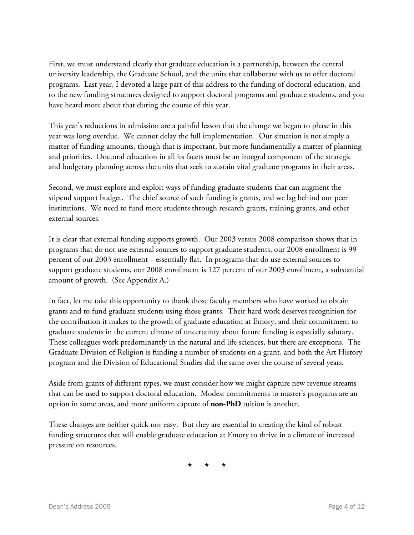First, we must understand clearly that graduate education is a partnership, between the central university leadership, the Graduate School, and the units that collaborate with us to offer doctoral programs. Last year, I devoted a large part of this address to the funding of doctoral education, and to the new funding structures designed to support doctoral programs and graduate students, and you have heard more about that during the course of this year.

This year's reductions in admission are a painful lesson that the change we began to phase in this year was long overdue. We cannot delay the full implementation. Our situation is not simply a matter of funding amounts, though that is important, but more fundamentally a matter of planning and priorities. Doctoral education in all its facets must be an integral component of the strategic and budgetary planning across the units that seek to sustain vital graduate programs in their areas.

Second, we must explore and exploit ways of funding graduate students that can augment the stipend support budget. The chief source of such funding is grants, and we lag behind our peer institutions. We need to fund more students through research grants, training grants, and other external sources.

It is clear that external funding supports growth. Our 2003 versus 2008 comparison shows that in programs that do not use external sources to support graduate students, our 2008 enrollment is 99 percent of our 2003 enrollment – essentially flat. In programs that do use external sources to support graduate students, our 2008 enrollment is 127 percent of our 2003 enrollment, a substantial amount of growth. (See Appendix A.)

In fact, let me take this opportunity to thank those faculty members who have worked to obtain grants and to fund graduate students using those grants. Their hard work deserves recognition for the contribution it makes to the growth of graduate education at Emory, and their commitment to graduate students in the current climate of uncertainty about future funding is especially salutary. These colleagues work predominantly in the natural and life sciences, but there are exceptions. The Graduate Division of Religion is funding a number of students on a grant, and both the Art History program and the Division of Educational Studies did the same over the course of several years.

Aside from grants of different types, we must consider how we might capture new revenue streams that can be used to support doctoral education. Modest commitments to master's programs are an option in some areas, and more uniform capture of **non-PhD** tuition is another.

These changes are neither quick nor easy. But they are essential to creating the kind of robust funding structures that will enable graduate education at Emory to thrive in a climate of increased pressure on resources.

\* \* \*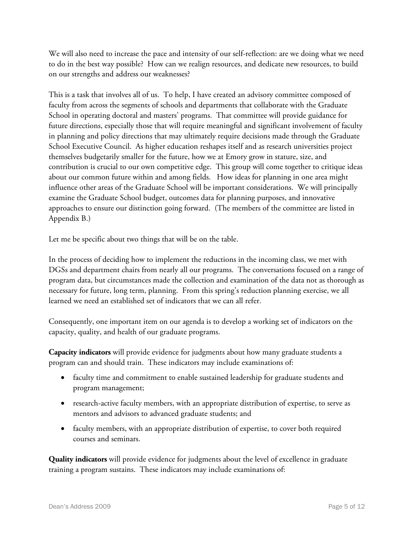We will also need to increase the pace and intensity of our self-reflection: are we doing what we need to do in the best way possible? How can we realign resources, and dedicate new resources, to build on our strengths and address our weaknesses?

This is a task that involves all of us. To help, I have created an advisory committee composed of faculty from across the segments of schools and departments that collaborate with the Graduate School in operating doctoral and masters' programs. That committee will provide guidance for future directions, especially those that will require meaningful and significant involvement of faculty in planning and policy directions that may ultimately require decisions made through the Graduate School Executive Council. As higher education reshapes itself and as research universities project themselves budgetarily smaller for the future, how we at Emory grow in stature, size, and contribution is crucial to our own competitive edge. This group will come together to critique ideas about our common future within and among fields. How ideas for planning in one area might influence other areas of the Graduate School will be important considerations. We will principally examine the Graduate School budget, outcomes data for planning purposes, and innovative approaches to ensure our distinction going forward. (The members of the committee are listed in Appendix B.)

Let me be specific about two things that will be on the table.

In the process of deciding how to implement the reductions in the incoming class, we met with DGSs and department chairs from nearly all our programs. The conversations focused on a range of program data, but circumstances made the collection and examination of the data not as thorough as necessary for future, long term, planning. From this spring's reduction planning exercise, we all learned we need an established set of indicators that we can all refer.

Consequently, one important item on our agenda is to develop a working set of indicators on the capacity, quality, and health of our graduate programs.

**Capacity indicators** will provide evidence for judgments about how many graduate students a program can and should train. These indicators may include examinations of:

- faculty time and commitment to enable sustained leadership for graduate students and program management;
- research-active faculty members, with an appropriate distribution of expertise, to serve as mentors and advisors to advanced graduate students; and
- faculty members, with an appropriate distribution of expertise, to cover both required courses and seminars.

**Quality indicators** will provide evidence for judgments about the level of excellence in graduate training a program sustains. These indicators may include examinations of: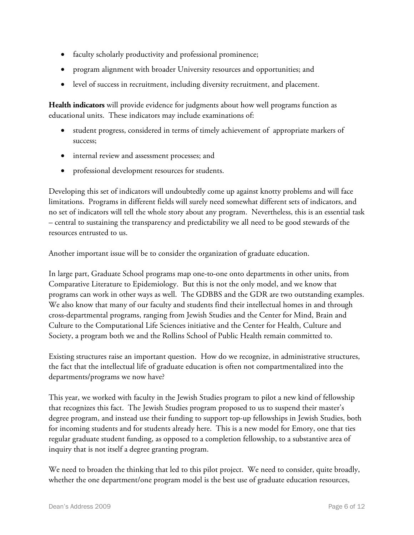- faculty scholarly productivity and professional prominence;
- program alignment with broader University resources and opportunities; and
- level of success in recruitment, including diversity recruitment, and placement.

**Health indicators** will provide evidence for judgments about how well programs function as educational units. These indicators may include examinations of:

- student progress, considered in terms of timely achievement of appropriate markers of success;
- internal review and assessment processes; and
- professional development resources for students.

Developing this set of indicators will undoubtedly come up against knotty problems and will face limitations. Programs in different fields will surely need somewhat different sets of indicators, and no set of indicators will tell the whole story about any program. Nevertheless, this is an essential task – central to sustaining the transparency and predictability we all need to be good stewards of the resources entrusted to us.

Another important issue will be to consider the organization of graduate education.

In large part, Graduate School programs map one-to-one onto departments in other units, from Comparative Literature to Epidemiology. But this is not the only model, and we know that programs can work in other ways as well. The GDBBS and the GDR are two outstanding examples. We also know that many of our faculty and students find their intellectual homes in and through cross-departmental programs, ranging from Jewish Studies and the Center for Mind, Brain and Culture to the Computational Life Sciences initiative and the Center for Health, Culture and Society, a program both we and the Rollins School of Public Health remain committed to.

Existing structures raise an important question. How do we recognize, in administrative structures, the fact that the intellectual life of graduate education is often not compartmentalized into the departments/programs we now have?

This year, we worked with faculty in the Jewish Studies program to pilot a new kind of fellowship that recognizes this fact. The Jewish Studies program proposed to us to suspend their master's degree program, and instead use their funding to support top-up fellowships in Jewish Studies, both for incoming students and for students already here. This is a new model for Emory, one that ties regular graduate student funding, as opposed to a completion fellowship, to a substantive area of inquiry that is not itself a degree granting program.

We need to broaden the thinking that led to this pilot project. We need to consider, quite broadly, whether the one department/one program model is the best use of graduate education resources,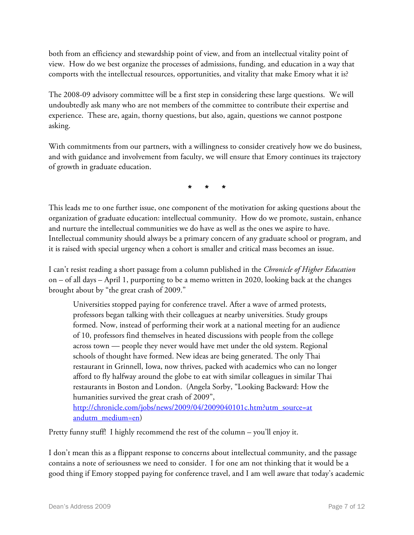both from an efficiency and stewardship point of view, and from an intellectual vitality point of view. How do we best organize the processes of admissions, funding, and education in a way that comports with the intellectual resources, opportunities, and vitality that make Emory what it is?

The 2008-09 advisory committee will be a first step in considering these large questions. We will undoubtedly ask many who are not members of the committee to contribute their expertise and experience. These are, again, thorny questions, but also, again, questions we cannot postpone asking.

With commitments from our partners, with a willingness to consider creatively how we do business, and with guidance and involvement from faculty, we will ensure that Emory continues its trajectory of growth in graduate education.

\* \* \*

This leads me to one further issue, one component of the motivation for asking questions about the organization of graduate education: intellectual community. How do we promote, sustain, enhance and nurture the intellectual communities we do have as well as the ones we aspire to have. Intellectual community should always be a primary concern of any graduate school or program, and it is raised with special urgency when a cohort is smaller and critical mass becomes an issue.

I can't resist reading a short passage from a column published in the *Chronicle of Higher Education* on – of all days – April 1, purporting to be a memo written in 2020, looking back at the changes brought about by "the great crash of 2009."

Universities stopped paying for conference travel. After a wave of armed protests, professors began talking with their colleagues at nearby universities. Study groups formed. Now, instead of performing their work at a national meeting for an audience of 10, professors find themselves in heated discussions with people from the college across town — people they never would have met under the old system. Regional schools of thought have formed. New ideas are being generated. The only Thai restaurant in Grinnell, Iowa, now thrives, packed with academics who can no longer afford to fly halfway around the globe to eat with similar colleagues in similar Thai restaurants in Boston and London. (Angela Sorby, "Looking Backward: How the humanities survived the great crash of 2009", [http://chronicle.com/jobs/news/2009/04/2009040101c.htm?utm\\_source=at](http://chronicle.com/jobs/news/2009/04/2009040101c.htm?utm_source=at&utm_medium=en)

[andutm\\_medium=en\)](http://chronicle.com/jobs/news/2009/04/2009040101c.htm?utm_source=at&utm_medium=en)

Pretty funny stuff! I highly recommend the rest of the column – you'll enjoy it.

I don't mean this as a flippant response to concerns about intellectual community, and the passage contains a note of seriousness we need to consider. I for one am not thinking that it would be a good thing if Emory stopped paying for conference travel, and I am well aware that today's academic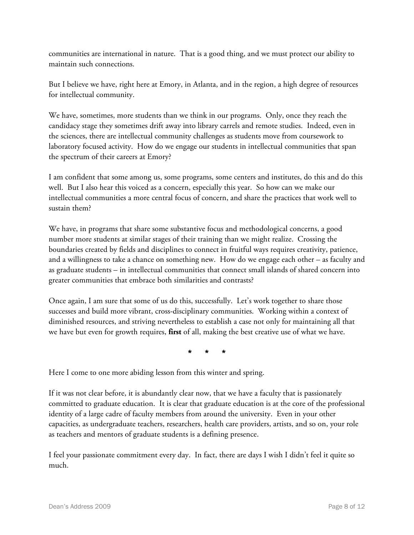communities are international in nature. That is a good thing, and we must protect our ability to maintain such connections.

But I believe we have, right here at Emory, in Atlanta, and in the region, a high degree of resources for intellectual community.

We have, sometimes, more students than we think in our programs. Only, once they reach the candidacy stage they sometimes drift away into library carrels and remote studies. Indeed, even in the sciences, there are intellectual community challenges as students move from coursework to laboratory focused activity. How do we engage our students in intellectual communities that span the spectrum of their careers at Emory?

I am confident that some among us, some programs, some centers and institutes, do this and do this well. But I also hear this voiced as a concern, especially this year. So how can we make our intellectual communities a more central focus of concern, and share the practices that work well to sustain them?

We have, in programs that share some substantive focus and methodological concerns, a good number more students at similar stages of their training than we might realize. Crossing the boundaries created by fields and disciplines to connect in fruitful ways requires creativity, patience, and a willingness to take a chance on something new. How do we engage each other – as faculty and as graduate students – in intellectual communities that connect small islands of shared concern into greater communities that embrace both similarities and contrasts?

Once again, I am sure that some of us do this, successfully. Let's work together to share those successes and build more vibrant, cross-disciplinary communities. Working within a context of diminished resources, and striving nevertheless to establish a case not only for maintaining all that we have but even for growth requires, **first** of all, making the best creative use of what we have.

\* \* \*

Here I come to one more abiding lesson from this winter and spring.

If it was not clear before, it is abundantly clear now, that we have a faculty that is passionately committed to graduate education. It is clear that graduate education is at the core of the professional identity of a large cadre of faculty members from around the university. Even in your other capacities, as undergraduate teachers, researchers, health care providers, artists, and so on, your role as teachers and mentors of graduate students is a defining presence.

I feel your passionate commitment every day. In fact, there are days I wish I didn't feel it quite so much.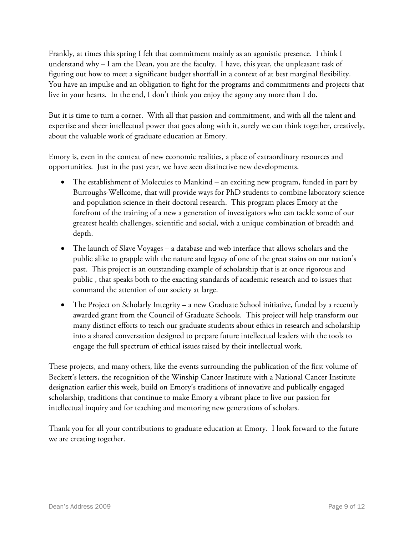Frankly, at times this spring I felt that commitment mainly as an agonistic presence. I think I understand why – I am the Dean, you are the faculty. I have, this year, the unpleasant task of figuring out how to meet a significant budget shortfall in a context of at best marginal flexibility. You have an impulse and an obligation to fight for the programs and commitments and projects that live in your hearts. In the end, I don't think you enjoy the agony any more than I do.

But it is time to turn a corner. With all that passion and commitment, and with all the talent and expertise and sheer intellectual power that goes along with it, surely we can think together, creatively, about the valuable work of graduate education at Emory.

Emory is, even in the context of new economic realities, a place of extraordinary resources and opportunities. Just in the past year, we have seen distinctive new developments.

- The establishment of Molecules to Mankind an exciting new program, funded in part by Burroughs-Wellcome, that will provide ways for PhD students to combine laboratory science and population science in their doctoral research. This program places Emory at the forefront of the training of a new a generation of investigators who can tackle some of our greatest health challenges, scientific and social, with a unique combination of breadth and depth.
- The launch of Slave Voyages a database and web interface that allows scholars and the public alike to grapple with the nature and legacy of one of the great stains on our nation's past. This project is an outstanding example of scholarship that is at once rigorous and public , that speaks both to the exacting standards of academic research and to issues that command the attention of our society at large.
- The Project on Scholarly Integrity a new Graduate School initiative, funded by a recently awarded grant from the Council of Graduate Schools. This project will help transform our many distinct efforts to teach our graduate students about ethics in research and scholarship into a shared conversation designed to prepare future intellectual leaders with the tools to engage the full spectrum of ethical issues raised by their intellectual work.

These projects, and many others, like the events surrounding the publication of the first volume of Beckett's letters, the recognition of the Winship Cancer Institute with a National Cancer Institute designation earlier this week, build on Emory's traditions of innovative and publically engaged scholarship, traditions that continue to make Emory a vibrant place to live our passion for intellectual inquiry and for teaching and mentoring new generations of scholars.

Thank you for all your contributions to graduate education at Emory. I look forward to the future we are creating together.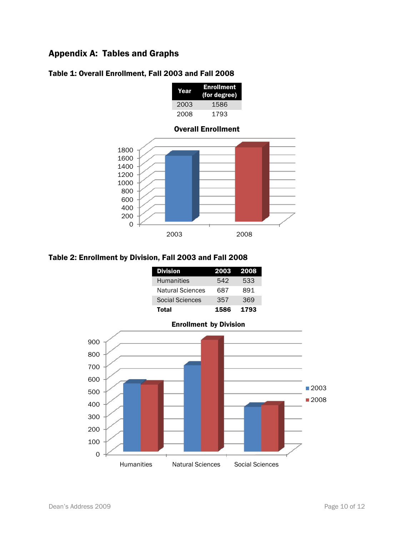## Appendix A: Tables and Graphs



#### Table 1: Overall Enrollment, Fall 2003 and Fall 2008



### Table 2: Enrollment by Division, Fall 2003 and Fall 2008

| <b>Division</b>         | 2003 2008 |      |
|-------------------------|-----------|------|
| <b>Humanities</b>       | 542       | 533  |
| <b>Natural Sciences</b> | 687       | 891  |
| Social Sciences         | 357       | 369  |
| <b>Total</b>            | 1586      | 1793 |

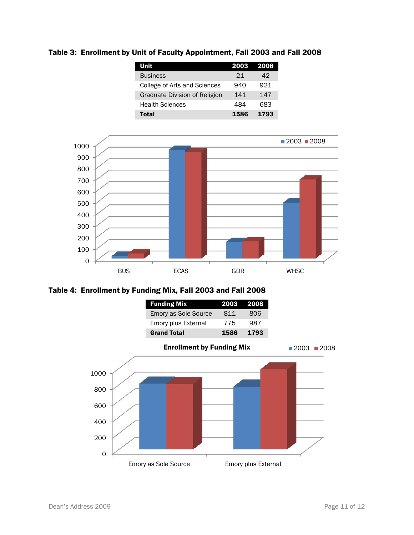Table 3: Enrollment by Unit of Faculty Appointment, Fall 2003 and Fall 2008

| Unit                          | 2003 | 2008 |
|-------------------------------|------|------|
| <b>Business</b>               | 21   | 42   |
| College of Arts and Sciences  | 940  | 921  |
| Graduate Division of Religion | 141  | 147  |
| <b>Health Sciences</b>        | 484  | 683  |
| Total                         | 1586 | 1793 |



Table 4: Enrollment by Funding Mix, Fall 2003 and Fall 2008